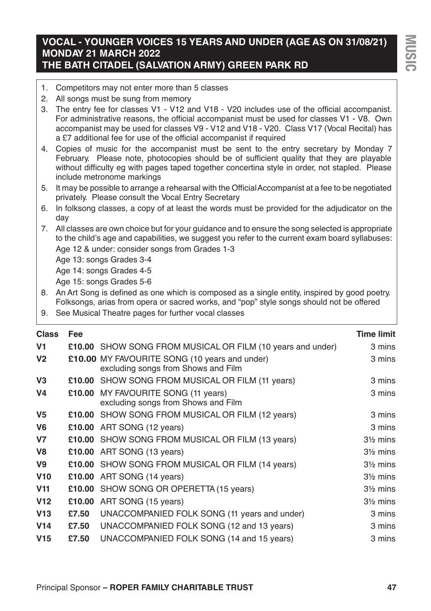# **VOCAL - YOUNGER VOICES 15 YEARS AND UNDER (AGE AS ON 31/08/21) MONDAY 21 MARCH 2022 THE BATH CITADEL (SALVATION ARMY) GREEN PARK RD**

- 1. Competitors may not enter more than 5 classes
- 2. All songs must be sung from memory
- 3. The entry fee for classes V1 V12 and V18 V20 includes use of the official accompanist. For administrative reasons, the official accompanist must be used for classes V1 - V8. Own accompanist may be used for classes V9 - V12 and V18 - V20. Class V17 (Vocal Recital) has a £7 additional fee for use of the official accompanist if required
- 4. Copies of music for the accompanist must be sent to the entry secretary by Monday 7 February. Please note, photocopies should be of sufficient quality that they are playable without difficulty eg with pages taped together concertina style in order, not stapled. Please include metronome markings
- 5. It may be possible to arrange a rehearsal with the OfficialAccompanist at a fee to be negotiated privately. Please consult the Vocal Entry Secretary
- 6. In folksong classes, a copy of at least the words must be provided for the adjudicator on the day
- 7. All classes are own choice but for your guidance and to ensure the song selected is appropriate to the child's age and capabilities, we suggest you refer to the current exam board syllabuses: Age 12 & under: consider songs from Grades 1-3

Age 13: songs Grades 3-4

Age 14: songs Grades 4-5

Age 15: songs Grades 5-6

8. An Art Song is defined as one which is composed as a single entity, inspired by good poetry. Folksongs, arias from opera or sacred works, and "pop" style songs should not be offered

9. See Musical Theatre pages for further vocal classes

| <b>Class</b>    | <b>Fee</b> |                                                                                             | <b>Time limit</b>   |
|-----------------|------------|---------------------------------------------------------------------------------------------|---------------------|
| V <sub>1</sub>  |            | £10.00 SHOW SONG FROM MUSICAL OR FILM (10 years and under)                                  | 3 mins              |
| V <sub>2</sub>  |            | <b>£10.00 MY FAVOURITE SONG (10 years and under)</b><br>excluding songs from Shows and Film | 3 mins              |
| V <sub>3</sub>  |            | <b>£10.00 SHOW SONG FROM MUSICAL OR FILM (11 years)</b>                                     | 3 mins              |
| V <sub>4</sub>  |            | £10.00 MY FAVOURITE SONG (11 years)<br>excluding songs from Shows and Film                  | 3 mins              |
| V <sub>5</sub>  |            | <b>£10.00 SHOW SONG FROM MUSICAL OR FILM (12 years)</b>                                     | 3 mins              |
| V <sub>6</sub>  |            | £10.00 ART SONG (12 years)                                                                  | 3 mins              |
| V <sub>7</sub>  |            | £10.00 SHOW SONG FROM MUSICAL OR FILM (13 years)                                            | $3\frac{1}{2}$ mins |
| V <sub>8</sub>  |            | £10.00 ART SONG (13 years)                                                                  | $3\frac{1}{2}$ mins |
| V9              |            | £10.00 SHOW SONG FROM MUSICAL OR FILM (14 years)                                            | $3\frac{1}{2}$ mins |
| V10             |            | £10.00 ART SONG (14 years)                                                                  | $3\frac{1}{2}$ mins |
| V <sub>11</sub> |            | £10.00 SHOW SONG OR OPERETTA (15 years)                                                     | $3\frac{1}{2}$ mins |
| V <sub>12</sub> |            | £10.00 ART SONG (15 years)                                                                  | $3\frac{1}{2}$ mins |
| V13             | £7.50      | UNACCOMPANIED FOLK SONG (11 years and under)                                                | 3 mins              |
| V <sub>14</sub> | £7.50      | UNACCOMPANIED FOLK SONG (12 and 13 years)                                                   | 3 mins              |
| V <sub>15</sub> | £7.50      | UNACCOMPANIED FOLK SONG (14 and 15 years)                                                   | 3 mins              |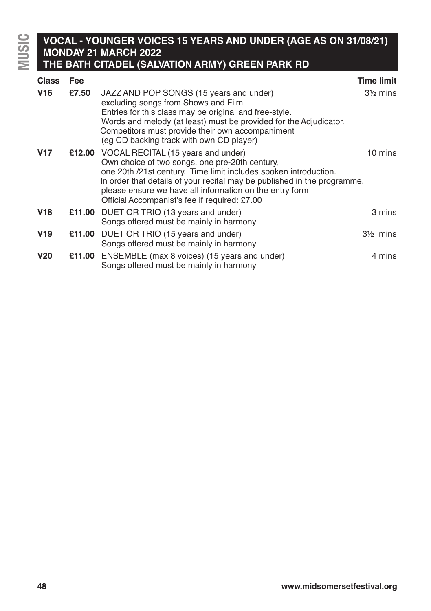**MUSIC**

# **VOCAL - YOUNGER VOICES 15 YEARS AND UNDER (AGE AS ON 31/08/21) MONDAY 21 MARCH 2022 THE BATH CITADEL (SALVATION ARMY) GREEN PARK RD**

| <b>Class</b>    | Fee    |                                                                                                                                                                                                                                                                                                                                                         | <b>Time limit</b>   |
|-----------------|--------|---------------------------------------------------------------------------------------------------------------------------------------------------------------------------------------------------------------------------------------------------------------------------------------------------------------------------------------------------------|---------------------|
| V <sub>16</sub> | £7.50  | JAZZ AND POP SONGS (15 years and under)<br>excluding songs from Shows and Film<br>Entries for this class may be original and free-style.<br>Words and melody (at least) must be provided for the Adjudicator.<br>Competitors must provide their own accompaniment<br>(eq CD backing track with own CD player)                                           | $3\frac{1}{2}$ mins |
| V17             |        | £12.00 VOCAL RECITAL (15 years and under)<br>Own choice of two songs, one pre-20th century,<br>one 20th /21st century. Time limit includes spoken introduction.<br>In order that details of your recital may be published in the programme,<br>please ensure we have all information on the entry form<br>Official Accompanist's fee if required: £7.00 | 10 mins             |
| V18             |        | £11.00 DUET OR TRIO (13 years and under)<br>Songs offered must be mainly in harmony                                                                                                                                                                                                                                                                     | 3 mins              |
| V <sub>19</sub> | £11.00 | DUET OR TRIO (15 years and under)<br>Songs offered must be mainly in harmony                                                                                                                                                                                                                                                                            | $3\frac{1}{2}$ mins |
| V <sub>20</sub> | £11.00 | ENSEMBLE (max 8 voices) (15 years and under)<br>Songs offered must be mainly in harmony                                                                                                                                                                                                                                                                 | 4 mins              |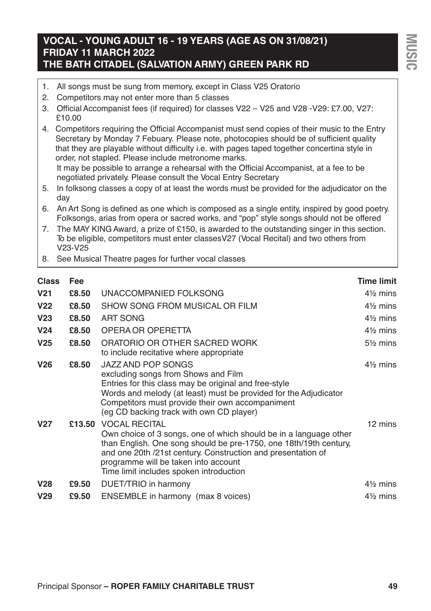# **VOCAL - YOUNG ADULT 16 - 19 YEARS (AGE AS ON 31/08/21) FRIDAY 11 MARCH 2022 THE BATH CITADEL (SALVATION ARMY) GREEN PARK RD**

- 1. All songs must be sung from memory, except in Class V25 Oratorio
- 2. Competitors may not enter more than 5 classes
- 3. Official Accompanist fees (if required) for classes V22 V25 and V28 -V29: £7.00, V27: £10.00
- 4. Competitors requiring the Official Accompanist must send copies of their music to the Entry Secretary by Monday 7 Febuary. Please note, photocopies should be of sufficient quality that they are playable without difficulty i.e. with pages taped together concertina style in order, not stapled. Please include metronome marks. It may be possible to arrange a rehearsal with the Official Accompanist, at a fee to be negotiated privately. Please consult the Vocal Entry Secretary
- 5. In folksong classes a copy of at least the words must be provided for the adjudicator on the day
- 6. An Art Song is defined as one which is composed as a single entity, inspired by good poetry. Folksongs, arias from opera or sacred works, and "pop" style songs should not be offered
- 7. The MAY KING Award, a prize of £150, is awarded to the outstanding singer in this section. To be eligible, competitors must enter classesV27 (Vocal Recital) and two others from V23-V25
- 8. See Musical Theatre pages for further vocal classes

| <b>Class</b>    | Fee    |                                                                                                                                                                                                                                                                                                                   | <b>Time limit</b>   |
|-----------------|--------|-------------------------------------------------------------------------------------------------------------------------------------------------------------------------------------------------------------------------------------------------------------------------------------------------------------------|---------------------|
| V <sub>21</sub> | £8.50  | UNACCOMPANIED FOLKSONG                                                                                                                                                                                                                                                                                            | $4\frac{1}{2}$ mins |
| V <sub>22</sub> | £8.50  | SHOW SONG FROM MUSICAL OR FILM                                                                                                                                                                                                                                                                                    | $4\frac{1}{2}$ mins |
| V <sub>23</sub> | £8.50  | ART SONG                                                                                                                                                                                                                                                                                                          | $4\frac{1}{2}$ mins |
| V <sub>24</sub> | £8.50  | OPERA OR OPERETTA                                                                                                                                                                                                                                                                                                 | $4\frac{1}{2}$ mins |
| V <sub>25</sub> | £8.50  | ORATORIO OR OTHER SACRED WORK<br>to include recitative where appropriate                                                                                                                                                                                                                                          | $5\%$ mins          |
| V <sub>26</sub> | £8.50  | JAZZ AND POP SONGS<br>excluding songs from Shows and Film<br>Entries for this class may be original and free-style<br>Words and melody (at least) must be provided for the Adjudicator<br>Competitors must provide their own accompaniment<br>(eg CD backing track with own CD player)                            | $4\frac{1}{2}$ mins |
| V <sub>27</sub> | £13.50 | <b>VOCAL RECITAL</b><br>Own choice of 3 songs, one of which should be in a language other<br>than English. One song should be pre-1750, one 18th/19th century,<br>and one 20th /21st century. Construction and presentation of<br>programme will be taken into account<br>Time limit includes spoken introduction | 12 mins             |
| V <sub>28</sub> | £9.50  | DUET/TRIO in harmony                                                                                                                                                                                                                                                                                              | $4\frac{1}{2}$ mins |
| V <sub>29</sub> | £9.50  | ENSEMBLE in harmony (max 8 voices)                                                                                                                                                                                                                                                                                | $4\frac{1}{2}$ mins |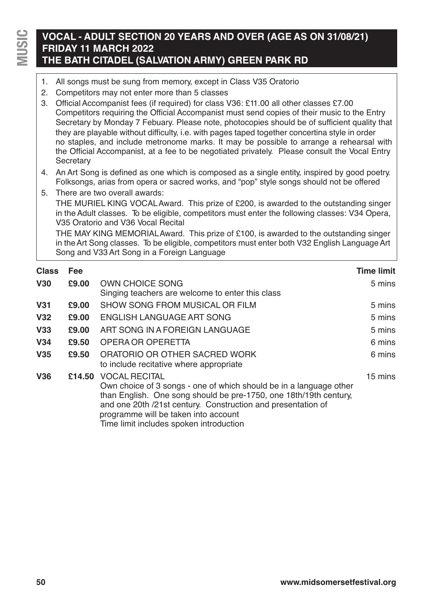# **VOCAL - ADULT SECTION 20 YEARS AND OVER (AGE AS ON 31/08/21) FRIDAY 11 MARCH 2022 THE BATH CITADEL (SALVATION ARMY) GREEN PARK RD**

- 1. All songs must be sung from memory, except in Class V35 Oratorio
- 2. Competitors may not enter more than 5 classes
- 3. Official Accompanist fees (if required) for class V36: £11.00 all other classes £7.00 Competitors requiring the Official Accompanist must send copies of their music to the Entry Secretary by Monday 7 Febuary. Please note, photocopies should be of sufficient quality that they are playable without difficulty, i.e. with pages taped together concertina style in order no staples, and include metronome marks. It may be possible to arrange a rehearsal with the Official Accompanist, at a fee to be negotiated privately. Please consult the Vocal Entry **Secretary**
- 4. An Art Song is defined as one which is composed as a single entity, inspired by good poetry. Folksongs, arias from opera or sacred works, and "pop" style songs should not be offered
- 5. There are two overall awards: THE MURIEL KING VOCALAward. This prize of £200, is awarded to the outstanding singer in the Adult classes. To be eligible, competitors must enter the following classes: V34 Opera, V35 Oratorio and V36 Vocal Recital THE MAY KING MEMORIALAward. This prize of £100, is awarded to the outstanding singer in theArt Song classes. To be eligible, competitors must enter both V32 English LanguageArt

Song and V33 Art Song in a Foreign Language

| <b>Class</b>    | <b>Fee</b> |                                                                    | <b>Time limit</b> |
|-----------------|------------|--------------------------------------------------------------------|-------------------|
| V30             | £9.00      | OWN CHOICE SONG                                                    | 5 mins            |
|                 |            | Singing teachers are welcome to enter this class                   |                   |
| <b>V31</b>      | £9.00      | SHOW SONG FROM MUSICAL OR FILM                                     | 5 mins            |
| V <sub>32</sub> | £9.00      | ENGLISH LANGUAGE ART SONG                                          | 5 mins            |
| V33             | £9.00      | ART SONG IN A FOREIGN LANGUAGE                                     | 5 mins            |
| V34             | £9.50      | OPERA OR OPERETTA                                                  | 6 mins            |
| <b>V35</b>      | £9.50      | ORATORIO OR OTHER SACRED WORK                                      | 6 mins            |
|                 |            | to include recitative where appropriate                            |                   |
| <b>V36</b>      |            | £14.50 VOCAL RECITAL                                               | 15 mins           |
|                 |            | Own choice of 3 songs - one of which should be in a language other |                   |
|                 |            | than English. One song should be pre-1750, one 18th/19th century,  |                   |
|                 |            | and one 20th /21st century. Construction and presentation of       |                   |
|                 |            | programme will be taken into account                               |                   |
|                 |            | Time limit includes spoken introduction                            |                   |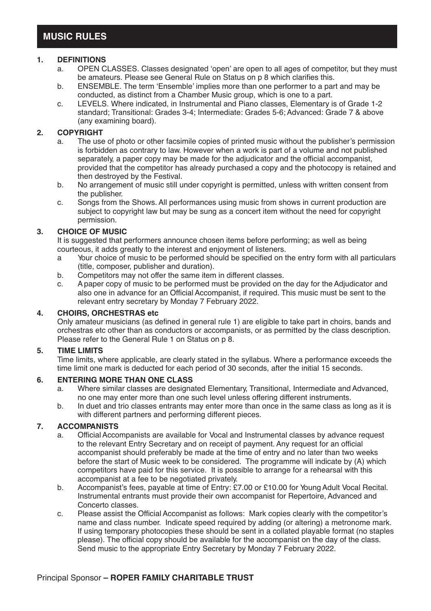# **1. DEFINITIONS**

- OPEN CLASSES. Classes designated 'open' are open to all ages of competitor, but they must be amateurs. Please see General Rule on Status on p 8 which clarifies this.
- b. ENSEMBLE. The term 'Ensemble' implies more than one performer to a part and may be conducted, as distinct from a Chamber Music group, which is one to a part.
- c. LEVELS. Where indicated, in Instrumental and Piano classes, Elementary is of Grade 1-2 standard; Transitional: Grades 3-4; Intermediate: Grades 5-6; Advanced: Grade 7 & above (any examining board).

# **2. COPYRIGHT**

- The use of photo or other facsimile copies of printed music without the publisher's permission is forbidden as contrary to law. However when a work is part of a volume and not published separately, a paper copy may be made for the adjudicator and the official accompanist. provided that the competitor has already purchased a copy and the photocopy is retained and then destroyed by the Festival.
- b. No arrangement of music still under copyright is permitted, unless with written consent from the publisher.
- c. Songs from the Shows. All performances using music from shows in current production are subject to copyright law but may be sung as a concert item without the need for copyright permission.

## **3. CHOICE OF MUSIC**

It is suggested that performers announce chosen items before performing; as well as being courteous, it adds greatly to the interest and enjoyment of listeners.

- Your choice of music to be performed should be specified on the entry form with all particulars (title, composer, publisher and duration).
- b. Competitors may not offer the same item in different classes.<br>C. A paper copy of music to be performed must be provided on t
- A paper copy of music to be performed must be provided on the day for the Adjudicator and also one in advance for an Official Accompanist, if required. This music must be sent to the relevant entry secretary by Monday 7 February 2022.

### **4. CHOIRS, ORCHESTRAS etc**

Only amateur musicians (as defined in general rule 1) are eligible to take part in choirs, bands and orchestras etc other than as conductors or accompanists, or as permitted by the class description. Please refer to the General Rule 1 on Status on p 8.

### **5. TIME LIMITS**

Time limits, where applicable, are clearly stated in the syllabus. Where a performance exceeds the time limit one mark is deducted for each period of 30 seconds, after the initial 15 seconds.

## **6. ENTERING MORE THAN ONE CLASS**

- a. Where similar classes are designated Elementary, Transitional, Intermediate and Advanced, no one may enter more than one such level unless offering different instruments.
- b. In duet and trio classes entrants may enter more than once in the same class as long as it is with different partners and performing different pieces.

## **7. ACCOMPANISTS**

- a. Official Accompanists are available for Vocal and Instrumental classes by advance request to the relevant Entry Secretary and on receipt of payment. Any request for an official accompanist should preferably be made at the time of entry and no later than two weeks before the start of Music week to be considered. The programme will indicate by (A) which competitors have paid for this service. It is possible to arrange for a rehearsal with this accompanist at a fee to be negotiated privately.
- b. Accompanist's fees, payable at time of Entry: £7.00 or £10.00 for Young Adult Vocal Recital. Instrumental entrants must provide their own accompanist for Repertoire, Advanced and Concerto classes.
- c. Please assist the Official Accompanist as follows: Mark copies clearly with the competitor's name and class number. Indicate speed required by adding (or altering) a metronome mark. If using temporary photocopies these should be sent in a collated playable format (no staples please). The official copy should be available for the accompanist on the day of the class. Send music to the appropriate Entry Secretary by Monday 7 February 2022.